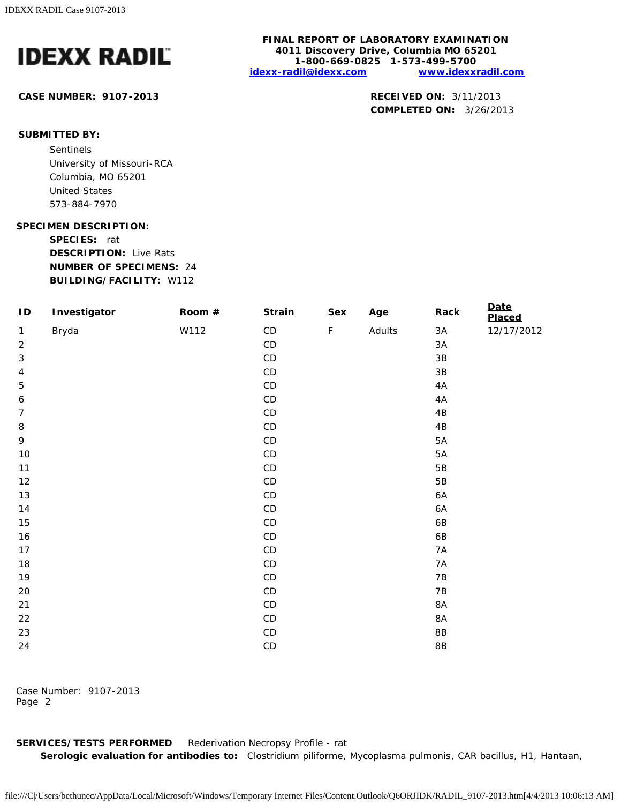

## **CASE NUMBER: 9107-2013 RECEIVED ON:** 3/11/2013

## **FINAL REPORT OF LABORATORY EXAMINATION 4011 Discovery Drive, Columbia MO 65201 1-800-669-0825 1-573-499-5700 [idexx-radil@idexx.com](mailto:idexx-radil@idexx.com) [www.idexxradil.com](http://www.idexxradil.com/)**

**COMPLETED ON:** 3/26/2013

## **SUBMITTED BY:**

Sentinels University of Missouri-RCA Columbia, MO 65201 United States 573-884-7970

### **SPECIMEN DESCRIPTION:**

**SPECIES:** rat **DESCRIPTION:** Live Rats **NUMBER OF SPECIMENS:** 24 **BUILDING/FACILITY:** W112

| $\overline{\mathbf{D}}$   | Investigator | Room $#$ | <b>Strain</b> | <b>Sex</b>  | <b>Age</b> | Rack            | <b>Date</b><br>Placed |
|---------------------------|--------------|----------|---------------|-------------|------------|-----------------|-----------------------|
| $\mathbf{1}$              | Bryda        | W112     | $\mathsf{CD}$ | $\mathsf F$ | Adults     | 3A              | 12/17/2012            |
| $\sqrt{2}$                |              |          | $\mathsf{CD}$ |             |            | 3A              |                       |
| $\ensuremath{\mathsf{3}}$ |              |          | $\mathsf{CD}$ |             |            | $3\mathsf{B}$   |                       |
| $\sqrt{4}$                |              |          | CD            |             |            | $3\mathsf{B}$   |                       |
| $\mathbf 5$               |              |          | CD            |             |            | 4A              |                       |
| $\boldsymbol{6}$          |              |          | $\mathsf{CD}$ |             |            | $4A$            |                       |
| $\boldsymbol{7}$          |              |          | CD            |             |            | $4\,\mathrm{B}$ |                       |
| $\, 8$                    |              |          | $\mathsf{CD}$ |             |            | 4B              |                       |
| 9                         |              |          | CD            |             |            | 5A              |                       |
| $10$                      |              |          | CD            |             |            | 5A              |                       |
| 11                        |              |          | $\mathsf{CD}$ |             |            | $5\,\mathrm{B}$ |                       |
| 12                        |              |          | $\mathsf{CD}$ |             |            | $5\,\mathrm{B}$ |                       |
| 13                        |              |          | $\mathsf{CD}$ |             |            | 6A              |                       |
| 14                        |              |          | $\mathsf{CD}$ |             |            | 6A              |                       |
| 15                        |              |          | $\mathsf{CD}$ |             |            | 6B              |                       |
| 16                        |              |          | $\mathsf{CD}$ |             |            | 6B              |                       |
| 17                        |              |          | $\mathsf{CD}$ |             |            | <b>7A</b>       |                       |
| 18                        |              |          | $\mathsf{CD}$ |             |            | $7A$            |                       |
| 19                        |              |          | $\mathsf{CD}$ |             |            | 7B              |                       |
| 20                        |              |          | $\mathsf{CD}$ |             |            | 7B              |                       |
| 21                        |              |          | $\mathsf{CD}$ |             |            | 8A              |                       |
| 22                        |              |          | $\mathsf{CD}$ |             |            | $8A$            |                       |
| 23                        |              |          | $\mathsf{CD}$ |             |            | $8\mathsf{B}$   |                       |
| 24                        |              |          | $\mathsf{CD}$ |             |            | $8\mathsf{B}$   |                       |

Case Number: 9107-2013 Page 2

**SERVICES/TESTS PERFORMED** Rederivation Necropsy Profile - rat **Serologic evaluation for antibodies to:** *Clostridium piliforme*, *Mycoplasma pulmonis*, CAR bacillus, H1, Hantaan,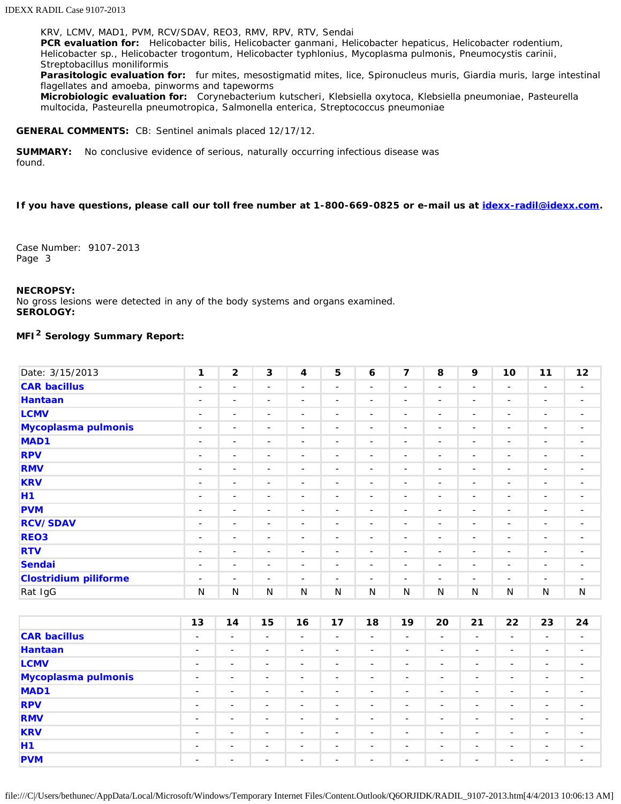KRV, LCMV, MAD1, PVM, RCV/SDAV, REO3, RMV, RPV, RTV, Sendai **PCR evaluation for:** *Helicobacter bilis*, *Helicobacter ganmani*, *Helicobacter hepaticus*, *Helicobacter rodentium*, *Helicobacter* sp., *Helicobacter trogontum*, *Helicobacter typhlonius*, *Mycoplasma pulmonis*, *Pneumocystis carinii*, *Streptobacillus moniliformis*

**Parasitologic evaluation for:** fur mites, mesostigmatid mites, lice, Spironucleus muris, Giardia muris, large intestinal flagellates and amoeba, pinworms and tapeworms

**Microbiologic evaluation for:** *Corynebacterium kutscheri*, *Klebsiella oxytoca*, *Klebsiella pneumoniae*, *Pasteurella multocida*, *Pasteurella pneumotropica*, *Salmonella enterica*, *Streptococcus pneumoniae*

### **GENERAL COMMENTS:** CB: Sentinel animals placed 12/17/12.

**SUMMARY:** No conclusive evidence of serious, naturally occurring infectious disease was found.

### **If you have questions, please call our toll free number at 1-800-669-0825 or e-mail us at [idexx-radil@idexx.com.](mailto:idexx-radil@idexx.com)**

Case Number: 9107-2013 Page 3

### **NECROPSY:**

No gross lesions were detected in any of the body systems and organs examined. **SEROLOGY:**

## **MFI2 Serology Summary Report:**

| Date: 3/15/2013              | $\mathbf{1}$             | $\mathbf{2}$             | 3                        | $\overline{4}$           | 5                        | 6                        | 7                        | 8                        | 9                        | 10                       | 11                       | 12                       |
|------------------------------|--------------------------|--------------------------|--------------------------|--------------------------|--------------------------|--------------------------|--------------------------|--------------------------|--------------------------|--------------------------|--------------------------|--------------------------|
| <b>CAR bacillus</b>          | $\overline{\phantom{a}}$ | $\overline{\phantom{a}}$ | $\overline{\phantom{a}}$ | -                        | $\overline{\phantom{a}}$ | $\overline{\phantom{a}}$ | $\overline{\phantom{a}}$ | $\overline{\phantom{a}}$ | $\overline{\phantom{a}}$ | $\overline{\phantom{a}}$ | $\overline{\phantom{a}}$ | -                        |
| <b>Hantaan</b>               | -                        | $\overline{\phantom{a}}$ | $\overline{\phantom{a}}$ | $\overline{\phantom{a}}$ | $\overline{\phantom{a}}$ | $\overline{\phantom{a}}$ | $\overline{\phantom{a}}$ | $\overline{\phantom{a}}$ | $\overline{\phantom{a}}$ | $\overline{\phantom{a}}$ | $\overline{\phantom{a}}$ | $\overline{\phantom{a}}$ |
| <b>LCMV</b>                  | $\overline{\phantom{a}}$ | $\overline{\phantom{a}}$ | $\overline{\phantom{a}}$ | $\overline{\phantom{a}}$ | $\sim$                   | $\sim$                   | $\overline{\phantom{a}}$ | $\overline{\phantom{a}}$ | $\overline{\phantom{a}}$ | $\overline{\phantom{a}}$ | $\overline{\phantom{a}}$ | $\overline{\phantom{a}}$ |
| Mycoplasma pulmonis          | $\overline{\phantom{a}}$ | $\overline{\phantom{a}}$ | $\overline{\phantom{a}}$ | $\overline{\phantom{a}}$ | $\overline{\phantom{a}}$ | $\overline{\phantom{a}}$ | $\overline{\phantom{a}}$ | $\overline{\phantom{a}}$ | $\overline{\phantom{a}}$ | $\overline{\phantom{a}}$ | $\overline{\phantom{a}}$ | $\overline{\phantom{a}}$ |
| MAD <sub>1</sub>             | $\overline{\phantom{a}}$ | $\overline{\phantom{a}}$ | -                        | -                        | $\overline{\phantom{a}}$ | $\overline{\phantom{a}}$ | -                        | $\overline{\phantom{a}}$ | $\overline{\phantom{a}}$ | -                        | -                        | $\overline{\phantom{a}}$ |
| <b>RPV</b>                   | $\overline{\phantom{a}}$ | $\overline{\phantom{a}}$ | $\overline{\phantom{a}}$ | -                        | $\overline{\phantom{a}}$ | $\overline{\phantom{a}}$ | -                        | $\overline{\phantom{a}}$ | $\overline{\phantom{a}}$ | $\overline{\phantom{a}}$ | $\overline{\phantom{a}}$ | $\overline{\phantom{a}}$ |
| <b>RMV</b>                   | $\overline{\phantom{a}}$ | $\overline{\phantom{a}}$ | $\overline{\phantom{a}}$ | $\overline{\phantom{a}}$ | $\sim$                   | $\overline{\phantom{a}}$ | $\overline{\phantom{a}}$ | $\sim$                   | $\overline{\phantom{a}}$ | $\overline{\phantom{a}}$ | $\overline{\phantom{a}}$ | $\overline{\phantom{a}}$ |
| <b>KRV</b>                   | $\overline{\phantom{a}}$ | $\overline{\phantom{a}}$ | $\overline{\phantom{a}}$ | $\overline{\phantom{a}}$ | $\sim$                   | $\sim$                   | $\overline{\phantom{a}}$ | $\overline{\phantom{a}}$ | $\overline{\phantom{a}}$ | $\overline{\phantom{a}}$ | $\overline{\phantom{a}}$ | $\overline{\phantom{a}}$ |
| <b>H1</b>                    | -                        | $\overline{\phantom{a}}$ | $\overline{\phantom{a}}$ | $\overline{\phantom{a}}$ | $\overline{\phantom{a}}$ | $\overline{\phantom{a}}$ | $\overline{\phantom{a}}$ | $\overline{\phantom{a}}$ | $\overline{\phantom{a}}$ | $\overline{\phantom{a}}$ | $\overline{\phantom{a}}$ | $\overline{\phantom{a}}$ |
| <b>PVM</b>                   | $\overline{\phantom{a}}$ | $\overline{\phantom{a}}$ | $\overline{\phantom{a}}$ | $\overline{\phantom{a}}$ | $\sim$                   | $\overline{\phantom{a}}$ | $\overline{\phantom{a}}$ | $\overline{\phantom{a}}$ | $\overline{\phantom{a}}$ | $\overline{\phantom{a}}$ | $\overline{\phantom{a}}$ | $\overline{\phantom{a}}$ |
| <b>RCV/SDAV</b>              | $\overline{\phantom{a}}$ | $\overline{\phantom{a}}$ | $\overline{\phantom{a}}$ | $\overline{\phantom{a}}$ | $\sim$                   | $\sim$                   | $\overline{\phantom{a}}$ | -                        | $\overline{\phantom{a}}$ | $\overline{\phantom{a}}$ | -                        | $\overline{\phantom{a}}$ |
| REO <sub>3</sub>             | -                        | $\overline{\phantom{a}}$ | $\overline{\phantom{a}}$ | $\overline{\phantom{a}}$ | $\overline{\phantom{a}}$ | $\overline{\phantom{a}}$ | $\overline{\phantom{a}}$ | $\overline{\phantom{a}}$ | $\overline{\phantom{a}}$ | $\overline{\phantom{a}}$ | $\overline{\phantom{a}}$ | $\overline{\phantom{a}}$ |
| <b>RTV</b>                   | -                        | $\overline{\phantom{a}}$ | $\overline{\phantom{a}}$ | $\overline{\phantom{a}}$ | $\overline{\phantom{a}}$ | $\overline{\phantom{a}}$ | -                        | $\overline{\phantom{a}}$ | $\overline{\phantom{a}}$ | $\overline{\phantom{a}}$ | $\overline{\phantom{a}}$ | -                        |
| <b>Sendai</b>                | $\overline{\phantom{a}}$ | $\overline{\phantom{a}}$ | $\overline{\phantom{a}}$ | $\overline{\phantom{a}}$ | $\sim$                   | $\overline{\phantom{a}}$ | $\overline{\phantom{a}}$ | $\overline{\phantom{a}}$ | $\overline{\phantom{a}}$ | $\overline{\phantom{a}}$ | $\overline{\phantom{a}}$ | $\overline{\phantom{a}}$ |
| <b>Clostridium piliforme</b> | $\overline{\phantom{a}}$ | $\overline{\phantom{a}}$ | $\overline{\phantom{a}}$ | $\overline{\phantom{a}}$ | Ξ.                       | $\overline{\phantom{a}}$ | -                        | $\overline{\phantom{a}}$ | $\overline{\phantom{a}}$ | $\overline{\phantom{a}}$ | -                        | $\overline{\phantom{a}}$ |
| Rat IgG                      | N                        | N                        | N                        | N                        | N                        | N                        | N                        | N                        | N                        | N                        | N                        | N                        |

|                     | 13                       | 14                       | 15                       | 16                       | 17                       | 18                       | 19                       | 20                       | 21                       | 22                       | 23                       | 24                       |
|---------------------|--------------------------|--------------------------|--------------------------|--------------------------|--------------------------|--------------------------|--------------------------|--------------------------|--------------------------|--------------------------|--------------------------|--------------------------|
| <b>CAR bacillus</b> | $\overline{\phantom{0}}$ | $\sim$                   | -                        | $\overline{\phantom{a}}$ | -                        | $\sim$                   | -                        | $\overline{\phantom{a}}$ | -                        | $\overline{\phantom{a}}$ | $\overline{\phantom{0}}$ | $\overline{\phantom{0}}$ |
| Hantaan             | $\overline{\phantom{0}}$ | $\sim$                   | $\overline{\phantom{a}}$ | $\sim$                   | $\overline{\phantom{0}}$ | $\sim$                   | $\overline{\phantom{a}}$ | $\overline{\phantom{a}}$ | -                        | $\overline{\phantom{a}}$ | $\overline{\phantom{a}}$ | $\overline{\phantom{a}}$ |
| <b>LCMV</b>         | $\overline{\phantom{0}}$ | $\sim$                   | $\overline{\phantom{a}}$ | $\sim$                   | $\overline{\phantom{0}}$ | $\sim$                   | $\overline{\phantom{0}}$ | $\sim$                   | $\overline{\phantom{a}}$ | $\sim$                   | $\overline{\phantom{0}}$ | $\sim$                   |
| Mycoplasma pulmonis | $\overline{\phantom{a}}$ | $\sim$                   | $\overline{\phantom{0}}$ | $\overline{\phantom{a}}$ | $\overline{\phantom{0}}$ | $\sim$                   | $\overline{\phantom{0}}$ | $\overline{\phantom{a}}$ | $\overline{\phantom{0}}$ | $\sim$                   | $\overline{\phantom{0}}$ | $\sim$                   |
| MAD <sub>1</sub>    | $\overline{\phantom{a}}$ | $\sim$                   | $\overline{\phantom{0}}$ | $\sim$                   | $\overline{\phantom{0}}$ | $\sim$                   | $\overline{\phantom{a}}$ | $\sim$                   | $\overline{\phantom{0}}$ | $\sim$                   | $\overline{\phantom{a}}$ | $\overline{\phantom{a}}$ |
| <b>RPV</b>          | $\sim$                   | $\sim$                   | $\equiv$                 | $\sim$                   | $\sim$                   | $\sim$                   | $\overline{\phantom{a}}$ | $\sim$                   | $\equiv$                 | $\sim$                   | $\overline{\phantom{0}}$ | $\sim$                   |
| <b>RMV</b>          | $\overline{\phantom{a}}$ | $\sim$                   | $\overline{\phantom{0}}$ | $\sim$                   | -                        | $\sim$                   | $\overline{\phantom{a}}$ | $\sim$                   | -                        | $\sim$                   | $\overline{\phantom{a}}$ | $\sim$                   |
| <b>KRV</b>          | $\overline{\phantom{a}}$ | $\sim$                   | -                        | $\sim$                   | $\overline{\phantom{0}}$ | $\sim$                   | $\overline{\phantom{0}}$ | $\overline{\phantom{a}}$ | $\overline{\phantom{a}}$ | $\overline{\phantom{a}}$ | $\overline{\phantom{0}}$ | $\overline{\phantom{a}}$ |
| H1                  | $\overline{\phantom{a}}$ | $\sim$                   | $\overline{\phantom{0}}$ | $\sim$                   | $\overline{\phantom{0}}$ | $\overline{\phantom{a}}$ | $\overline{\phantom{a}}$ | $\overline{\phantom{a}}$ | $\overline{\phantom{a}}$ | $\overline{\phantom{a}}$ | $\overline{\phantom{a}}$ | $\overline{\phantom{0}}$ |
| <b>PVM</b>          | $\overline{\phantom{a}}$ | $\overline{\phantom{a}}$ | ۰.                       | $\overline{\phantom{a}}$ | $\overline{\phantom{a}}$ | $\overline{\phantom{a}}$ | -                        | $\overline{\phantom{a}}$ | $\overline{\phantom{0}}$ | $\overline{\phantom{a}}$ | $\overline{\phantom{0}}$ | -                        |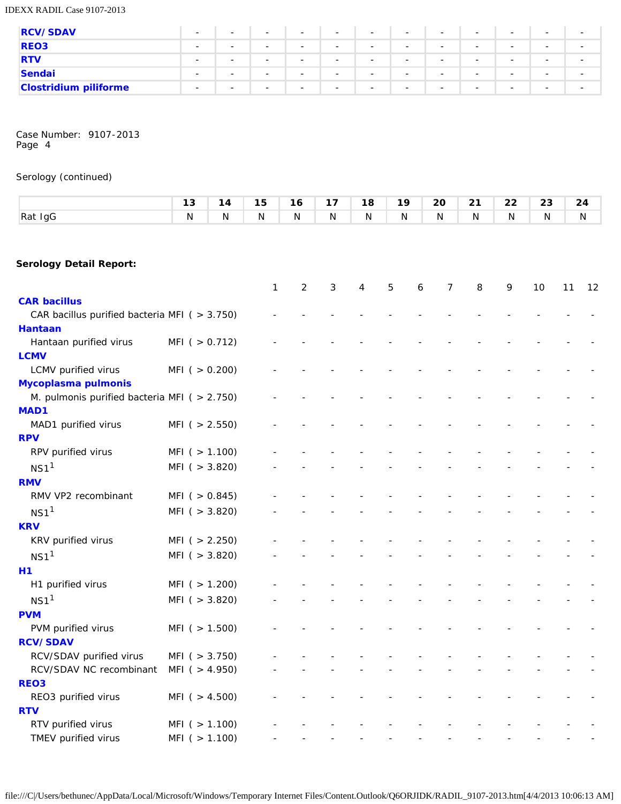IDEXX RADIL Case 9107-2013

| <b>RCV/SDAV</b>              | $\sim$                   | $\overline{\phantom{0}}$ | $\overline{\phantom{a}}$ | $\overline{\phantom{a}}$ | $\overline{\phantom{a}}$ | $\sim$                   | $\overline{\phantom{a}}$ | $\sim$                   | $\overline{\phantom{0}}$ | $\sim$                   | $\overline{\phantom{a}}$ | $\sim$                   |
|------------------------------|--------------------------|--------------------------|--------------------------|--------------------------|--------------------------|--------------------------|--------------------------|--------------------------|--------------------------|--------------------------|--------------------------|--------------------------|
| <b>REO3</b>                  | $\sim$                   | $\overline{\phantom{a}}$ | $\overline{\phantom{a}}$ | $\overline{\phantom{a}}$ | $\overline{\phantom{0}}$ | $\overline{\phantom{a}}$ |                          | $\overline{\phantom{a}}$ | $\overline{\phantom{0}}$ | $\overline{\phantom{a}}$ | $\overline{\phantom{a}}$ | $\overline{\phantom{0}}$ |
| <b>RTV</b>                   | $\sim$                   | $\overline{\phantom{a}}$ | $\overline{\phantom{0}}$ | $\overline{\phantom{a}}$ | $\overline{\phantom{a}}$ | $\overline{\phantom{a}}$ | $\overline{\phantom{a}}$ | $\overline{\phantom{a}}$ | $\overline{\phantom{a}}$ | $\overline{\phantom{a}}$ | $\overline{\phantom{0}}$ | $\overline{\phantom{a}}$ |
| Sendai                       | $\overline{\phantom{0}}$ | $\overline{\phantom{0}}$ | $\overline{\phantom{a}}$ | $\overline{\phantom{a}}$ | $\overline{\phantom{a}}$ | $\overline{\phantom{a}}$ | $\overline{\phantom{a}}$ | $\overline{\phantom{a}}$ | $\overline{\phantom{a}}$ | $\overline{\phantom{a}}$ | $\overline{\phantom{a}}$ | $\overline{\phantom{a}}$ |
| <b>Clostridium piliforme</b> | $\sim$                   | $\overline{\phantom{0}}$ | $\overline{\phantom{a}}$ | $\overline{\phantom{a}}$ | $\overline{\phantom{a}}$ | $\overline{\phantom{a}}$ | $\overline{\phantom{a}}$ | $\overline{\phantom{a}}$ | $\overline{\phantom{0}}$ | $\sim$                   | $\overline{\phantom{a}}$ | $\overline{\phantom{a}}$ |

Case Number: 9107-2013 Page 4

# Serology (continued)

|                                                                 | 13                  | 14 | 15           | 16             | 17 | 18             | 19 |   | 20             | 21 | 22 | 23 |    | 24 |
|-----------------------------------------------------------------|---------------------|----|--------------|----------------|----|----------------|----|---|----------------|----|----|----|----|----|
| Rat IgG                                                         | N                   | N  | N            | $\mathsf{N}$   | N  | N              | N  |   | N              | N  | N  | N  |    | N  |
|                                                                 |                     |    |              |                |    |                |    |   |                |    |    |    |    |    |
| <b>Serology Detail Report:</b>                                  |                     |    |              |                |    |                |    |   |                |    |    |    |    |    |
|                                                                 |                     |    | $\mathbf{1}$ | $\overline{2}$ | 3  | $\overline{4}$ | 5  | 6 | $\overline{7}$ | 8  | 9  | 10 | 11 | 12 |
| <b>CAR bacillus</b>                                             |                     |    |              |                |    |                |    |   |                |    |    |    |    |    |
| CAR bacillus purified bacteria MFI ( > 3.750)<br><b>Hantaan</b> |                     |    |              |                |    |                |    |   |                |    |    |    |    |    |
| Hantaan purified virus                                          | MFI( > 0.712)       |    |              |                |    |                |    |   |                |    |    |    |    |    |
| <b>LCMV</b>                                                     |                     |    |              |                |    |                |    |   |                |    |    |    |    |    |
| LCMV purified virus                                             | $MFI$ ( $> 0.200$ ) |    |              |                |    |                |    |   |                |    |    |    |    |    |
| Mycoplasma pulmonis                                             |                     |    |              |                |    |                |    |   |                |    |    |    |    |    |
| M. pulmonis purified bacteria MFI ( $> 2.750$ )                 |                     |    |              |                |    |                |    |   |                |    |    |    |    |    |
| MAD1                                                            |                     |    |              |                |    |                |    |   |                |    |    |    |    |    |
| MAD1 purified virus                                             | $MFI$ ( $> 2.550$ ) |    |              |                |    |                |    |   |                |    |    |    |    |    |
| <b>RPV</b>                                                      |                     |    |              |                |    |                |    |   |                |    |    |    |    |    |
| RPV purified virus                                              | MFI( > 1.100)       |    |              |                |    |                |    |   |                |    |    |    |    |    |
| NS1 <sup>1</sup>                                                | $MFI$ ( $> 3.820$ ) |    |              |                |    |                |    |   |                |    |    |    |    |    |
| <b>RMV</b>                                                      |                     |    |              |                |    |                |    |   |                |    |    |    |    |    |
| RMV VP2 recombinant                                             | $MFI$ ( $> 0.845$ ) |    |              |                |    |                |    |   |                |    |    |    |    |    |
| NS1 <sup>1</sup>                                                | $MFI$ ( $> 3.820$ ) |    |              |                |    |                |    |   |                |    |    |    |    |    |
| <b>KRV</b>                                                      |                     |    |              |                |    |                |    |   |                |    |    |    |    |    |
| KRV purified virus                                              | $MFI$ ( $> 2.250$ ) |    |              |                |    |                |    |   |                |    |    |    |    |    |
| NS1 <sup>1</sup>                                                | $MFI$ ( $> 3.820$ ) |    |              |                |    |                |    |   |                |    |    |    |    |    |
| H1                                                              |                     |    |              |                |    |                |    |   |                |    |    |    |    |    |
| H1 purified virus                                               | MFI( > 1.200)       |    |              |                |    |                |    |   |                |    |    |    |    |    |
| NS1 <sup>1</sup>                                                | $MFI$ ( $> 3.820$ ) |    |              |                |    |                |    |   |                |    |    |    |    |    |
| <b>PVM</b>                                                      |                     |    |              |                |    |                |    |   |                |    |    |    |    |    |
| PVM purified virus                                              | MFI( > 1.500)       |    |              |                |    |                |    |   |                |    |    |    |    |    |
| <b>RCV/SDAV</b>                                                 |                     |    |              |                |    |                |    |   |                |    |    |    |    |    |
| RCV/SDAV purified virus                                         | $MFI$ ( $> 3.750$ ) |    |              |                |    |                |    |   |                |    |    |    |    |    |
| RCV/SDAV NC recombinant                                         | MFI (> 4.950)       |    |              |                |    |                |    |   |                |    |    |    |    |    |
| REO <sub>3</sub>                                                |                     |    |              |                |    |                |    |   |                |    |    |    |    |    |
| REO3 purified virus<br><b>RTV</b>                               | MFI ( > 4.500)      |    |              |                |    |                |    |   |                |    |    |    |    |    |
| RTV purified virus                                              | $MFI$ ( $> 1.100$ ) |    |              |                |    |                |    |   |                |    |    |    |    |    |
| TMEV purified virus                                             | $MFI$ ( $> 1.100$ ) |    |              |                |    |                |    |   |                |    |    |    |    |    |
|                                                                 |                     |    |              |                |    |                |    |   |                |    |    |    |    |    |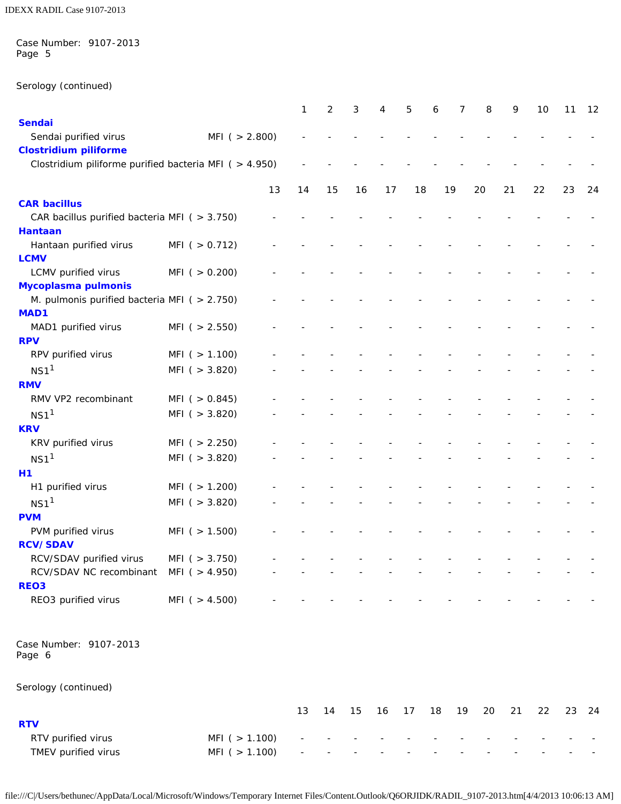Case Number: 9107-2013 Page 5

Serology (continued)

|                                                                        |                                   |    | 1  | 2  | 3  | 4  | 5  | 6  | 7  | 8  | 9  | 10 | 11 | 12    |
|------------------------------------------------------------------------|-----------------------------------|----|----|----|----|----|----|----|----|----|----|----|----|-------|
| <b>Sendai</b>                                                          |                                   |    |    |    |    |    |    |    |    |    |    |    |    |       |
| Sendai purified virus                                                  | MFI( > 2.800)                     |    |    |    |    |    |    |    |    |    |    |    |    |       |
| <b>Clostridium piliforme</b>                                           |                                   |    |    |    |    |    |    |    |    |    |    |    |    |       |
| Clostridium piliforme purified bacteria MFI ( > 4.950)                 |                                   |    |    |    |    |    |    |    |    |    |    |    |    |       |
|                                                                        |                                   | 13 | 14 | 15 | 16 | 17 | 18 |    | 19 | 20 | 21 | 22 | 23 | 24    |
| <b>CAR bacillus</b>                                                    |                                   |    |    |    |    |    |    |    |    |    |    |    |    |       |
| CAR bacillus purified bacteria MFI ( $>$ 3.750)                        |                                   |    |    |    |    |    |    |    |    |    |    |    |    |       |
| <b>Hantaan</b>                                                         |                                   |    |    |    |    |    |    |    |    |    |    |    |    |       |
| Hantaan purified virus                                                 | $MFI$ ( $> 0.712$ )               |    |    |    |    |    |    |    |    |    |    |    |    |       |
| <b>LCMV</b>                                                            |                                   |    |    |    |    |    |    |    |    |    |    |    |    |       |
| LCMV purified virus                                                    | $MFI$ ( $> 0.200$ )               |    |    |    |    |    |    |    |    |    |    |    |    |       |
| Mycoplasma pulmonis<br>M. pulmonis purified bacteria MFI ( $> 2.750$ ) |                                   |    |    |    |    |    |    |    |    |    |    |    |    |       |
| <b>MAD1</b>                                                            |                                   |    |    |    |    |    |    |    |    |    |    |    |    |       |
| MAD1 purified virus                                                    | $MFI$ ( $> 2.550$ )               |    |    |    |    |    |    |    |    |    |    |    |    |       |
| <b>RPV</b>                                                             |                                   |    |    |    |    |    |    |    |    |    |    |    |    |       |
| RPV purified virus                                                     | $MFI$ ( $> 1.100$ )               |    |    |    |    |    |    |    |    |    |    |    |    |       |
| NS1 <sup>1</sup>                                                       | $MFI$ ( $>$ 3.820)                |    |    |    |    |    |    |    |    |    |    |    |    |       |
| <b>RMV</b>                                                             |                                   |    |    |    |    |    |    |    |    |    |    |    |    |       |
| RMV VP2 recombinant                                                    | $MFI$ ( $> 0.845$ )               |    |    |    |    |    |    |    |    |    |    |    |    |       |
| NS1 <sup>1</sup>                                                       | $MFI$ ( $> 3.820$ )               |    |    |    |    |    |    |    |    |    |    |    |    |       |
| <b>KRV</b>                                                             |                                   |    |    |    |    |    |    |    |    |    |    |    |    |       |
| KRV purified virus                                                     | $MFI$ ( $> 2.250$ )               |    |    |    |    |    |    |    |    |    |    |    |    |       |
| NS1 <sup>1</sup>                                                       | $MFI$ ( $>$ 3.820)                |    |    |    |    |    |    |    |    |    |    |    |    |       |
| H1                                                                     |                                   |    |    |    |    |    |    |    |    |    |    |    |    |       |
| H1 purified virus                                                      | $MFI$ ( $> 1.200$ )               |    |    |    |    |    |    |    |    |    |    |    |    |       |
| NS1 <sup>1</sup>                                                       | $MFI$ ( $>$ 3.820)                |    |    |    |    |    |    |    |    |    |    |    |    |       |
| <b>PVM</b>                                                             |                                   |    |    |    |    |    |    |    |    |    |    |    |    |       |
| PVM purified virus                                                     | MFI ( $> 1.500$ )                 |    |    |    |    |    |    |    |    |    |    |    |    |       |
| <b>RCV/SDAV</b>                                                        |                                   |    |    |    |    |    |    |    |    |    |    |    |    |       |
| RCV/SDAV purified virus<br>RCV/SDAV NC recombinant                     | MFI (> 3.750)<br>MFI $( > 4.950)$ |    |    |    |    |    |    |    |    |    |    |    |    |       |
| REO <sub>3</sub>                                                       |                                   |    |    |    |    |    |    |    |    |    |    |    |    |       |
| REO3 purified virus                                                    | MFI ( $> 4.500$ )                 |    |    |    |    |    |    |    |    |    |    |    |    |       |
| Case Number: 9107-2013                                                 |                                   |    |    |    |    |    |    |    |    |    |    |    |    |       |
| Page 6                                                                 |                                   |    |    |    |    |    |    |    |    |    |    |    |    |       |
| Serology (continued)                                                   |                                   |    |    |    |    |    |    |    |    |    |    |    |    |       |
|                                                                        |                                   |    | 13 | 14 | 15 | 16 | 17 | 18 | 19 | 20 | 21 | 22 |    | 23 24 |
| <b>RTV</b>                                                             |                                   |    |    |    |    |    |    |    |    |    |    |    |    |       |
| RTV purified virus                                                     | MFI( > 1.100)                     |    |    |    |    |    |    |    |    |    |    |    |    |       |
| TMEV purified virus                                                    | MFI (> 1.100)                     |    |    |    |    |    |    |    |    |    |    |    |    |       |

file:///C|/Users/bethunec/AppData/Local/Microsoft/Windows/Temporary Internet Files/Content.Outlook/Q6ORJIDK/RADIL\_9107-2013.htm[4/4/2013 10:06:13 AM]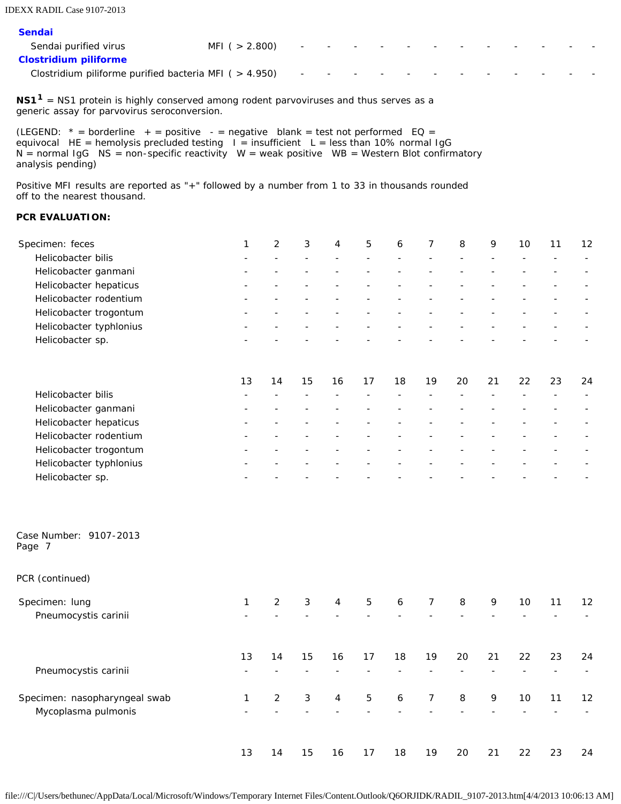IDEXX RADIL Case 9107-2013

| <b>Sendai</b>                                            |                   |                                                                                                                 |  |  |  |        |  |
|----------------------------------------------------------|-------------------|-----------------------------------------------------------------------------------------------------------------|--|--|--|--------|--|
| Sendai purified virus                                    | MFI ( $> 2.800$ ) | 그는 아이들은 아들이 아들이 아들이 아들이 아들이 아들이 아들이 아들이 있다.                                                                     |  |  |  | $\sim$ |  |
| <b>Clostridium piliforme</b>                             |                   |                                                                                                                 |  |  |  |        |  |
| Clostridium piliforme purified bacteria MFI ( $>$ 4.950) |                   | 100 Hotel Advised Advised Advised Advised Advised Advised Advised Advised Advised Advised Advised Advised Advis |  |  |  |        |  |
|                                                          |                   |                                                                                                                 |  |  |  |        |  |

**NS11** = NS1 protein is highly conserved among rodent parvoviruses and thus serves as a generic assay for parvovirus seroconversion.

(LEGEND:  $*$  = borderline + = positive - = negative blank = test not performed EQ = equivocal HE = hemolysis precluded testing  $I =$  insufficient L = less than 10% normal IgG  $N =$  normal IgG  $NS =$  non-specific reactivity  $W =$  weak positive  $WB =$  Western Blot confirmatory analysis pending)

Positive MFI results are reported as "+" followed by a number from 1 to 33 in thousands rounded off to the nearest thousand.

# **PCR EVALUATION:**

| Specimen: feces         |    | 2  | 3  | 4  | 5  | 6  | 7  | 8  | 9  | 10 | 11 | 12 |
|-------------------------|----|----|----|----|----|----|----|----|----|----|----|----|
| Helicobacter bilis      |    |    |    |    |    |    |    |    |    |    |    |    |
| Helicobacter ganmani    |    |    |    |    |    |    |    |    |    |    |    |    |
| Helicobacter hepaticus  |    |    |    |    |    |    |    |    |    |    |    |    |
| Helicobacter rodentium  |    |    |    |    |    |    |    |    |    |    |    |    |
| Helicobacter trogontum  |    |    |    |    |    |    |    |    |    |    |    |    |
| Helicobacter typhlonius |    |    |    |    |    |    |    |    |    |    |    |    |
| Helicobacter sp.        |    |    |    |    |    |    |    |    |    |    |    |    |
|                         | 13 | 14 | 15 | 16 | 17 | 18 | 19 | 20 | 21 | 22 | 23 | 24 |
| Helicobacter bilis      |    |    |    |    |    |    |    |    |    |    |    |    |
| Helicobacter ganmani    |    |    |    |    |    |    |    |    |    |    |    |    |
| Helicobacter hepaticus  |    |    |    |    |    |    |    |    |    |    |    |    |
| Helicobacter rodentium  |    |    |    |    |    |    |    |    |    |    |    |    |
| Helicobacter trogontum  |    |    |    |    |    |    |    |    |    |    |    |    |
| Helicobacter typhlonius |    |    |    |    |    |    |    |    |    |    |    |    |
| Helicobacter sp.        |    |    |    |    |    |    |    |    |    |    |    |    |

| Case Number: 9107-2013 |  |
|------------------------|--|
| Page 7                 |  |

|  | PCR (continued) |  |
|--|-----------------|--|
|--|-----------------|--|

| Specimen: lung                | 1  | 2  | 3  | 4  | 5  | 6  | 7  | 8  | 9  | 10 | 11 | $12 \overline{ }$ |
|-------------------------------|----|----|----|----|----|----|----|----|----|----|----|-------------------|
| Pneumocystis carinii          |    |    |    |    |    |    |    |    |    |    |    |                   |
|                               |    |    |    |    |    |    |    |    |    |    |    |                   |
|                               | 13 | 14 | 15 | 16 | 17 | 18 | 19 | 20 | 21 | 22 | 23 | 24                |
| Pneumocystis carinii          |    |    |    |    |    |    |    |    |    |    |    |                   |
| Specimen: nasopharyngeal swab | 1  | 2  | 3  | 4  | 5  | 6  | 7  | 8  | 9  | 10 | 11 | $12 \overline{ }$ |
| Mycoplasma pulmonis           |    |    |    |    |    |    |    |    |    |    |    |                   |
|                               |    |    |    |    |    |    |    |    |    |    |    |                   |
|                               | 13 | 14 | 15 | 16 | 17 | 18 | 19 | 20 | 21 | 22 | 23 | 24                |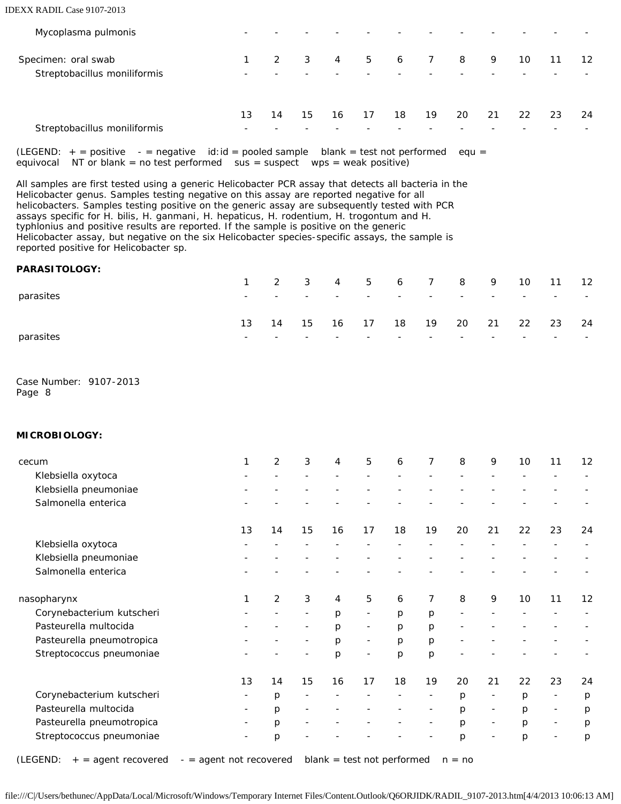#### IDEXX RADIL Case 9107-2013

| Mycoplasma pulmonis                                 |    |    |                         |    |    |    |    |    |    |    |    |    |
|-----------------------------------------------------|----|----|-------------------------|----|----|----|----|----|----|----|----|----|
| Specimen: oral swab<br>Streptobacillus moniliformis |    | 2  | $\overline{\mathbf{3}}$ | 4  | 5  | 6  | 7  | 8  | 9  | 10 | 11 | 12 |
| Streptobacillus moniliformis                        | 13 | 14 | 15                      | 16 | 17 | 18 | 19 | 20 | 21 | 22 | 23 | 24 |

(LEGEND:  $+$  = positive - = negative id:id = pooled sample blank = test not performed equ = equivocal NT or blank = no test performed sus = suspect wps = weak positive)

All samples are first tested using a generic *Helicobacter* PCR assay that detects all bacteria in the *Helicobacter* genus. Samples testing negative on this assay are reported negative for all helicobacters. Samples testing positive on the generic assay are subsequently tested with PCR assays specific for *H. bilis*, *H. ganmani*, *H. hepaticus*, *H. rodentium*, *H. trogontum* and *H. typhlonius* and positive results are reported. If the sample is positive on the generic *Helicobacter* assay, but negative on the six *Helicobacter* species-specific assays, the sample is reported positive for *Helicobacter* sp.

## **PARASITOLOGY:**

|           |                          |    |                          |                          |                          |                          |                          |                          |                          | 1 2 3 4 5 6 7 8 9 10 11 12 |                          |        |
|-----------|--------------------------|----|--------------------------|--------------------------|--------------------------|--------------------------|--------------------------|--------------------------|--------------------------|----------------------------|--------------------------|--------|
| parasites | $\overline{\phantom{a}}$ |    | $\overline{\phantom{0}}$ | $\overline{\phantom{0}}$ | $\overline{\phantom{0}}$ | $\overline{\phantom{0}}$ | $\overline{\phantom{0}}$ | $\sim$                   | $\overline{\phantom{a}}$ | $\sim$                     | $\sim$                   | $\sim$ |
|           | 13                       | 14 | 15                       | 16                       | 17                       |                          | 18 19                    |                          |                          | 20 21 22 23 24             |                          |        |
| parasites | -                        |    |                          | $\overline{\phantom{0}}$ | $\overline{\phantom{0}}$ | $\overline{\phantom{0}}$ | $\overline{\phantom{0}}$ | $\overline{\phantom{0}}$ | -                        | $\overline{\phantom{a}}$   | $\overline{\phantom{0}}$ | $\sim$ |

Case Number: 9107-2013 Page 8

#### **MICROBIOLOGY:**

| cecum                     | 1                        | $\overline{2}$ | 3                        | 4  | 5                        | 6  | 7                        | 8                 | 9              | 10 | 11                       | 12 |
|---------------------------|--------------------------|----------------|--------------------------|----|--------------------------|----|--------------------------|-------------------|----------------|----|--------------------------|----|
| Klebsiella oxytoca        |                          |                |                          |    |                          |    |                          |                   |                |    |                          |    |
| Klebsiella pneumoniae     |                          |                |                          |    |                          |    |                          |                   |                |    |                          |    |
| Salmonella enterica       |                          |                |                          |    |                          |    |                          |                   |                |    |                          |    |
|                           | 13                       | 14             | 15                       | 16 | 17                       | 18 | 19                       | 20                | 21             | 22 | 23                       | 24 |
| Klebsiella oxytoca        |                          |                |                          |    |                          |    |                          |                   |                |    |                          |    |
| Klebsiella pneumoniae     |                          |                |                          |    |                          |    |                          |                   |                |    |                          |    |
| Salmonella enterica       |                          |                |                          |    |                          |    |                          |                   |                |    |                          |    |
| nasopharynx               | 1                        | 2              | 3                        | 4  | 5                        | 6  | $\overline{7}$           | 8                 | 9              | 10 | 11                       | 12 |
| Corynebacterium kutscheri |                          |                | $\overline{\phantom{a}}$ | p  | $\overline{\phantom{a}}$ | p  | p                        | $\qquad \qquad -$ |                |    |                          |    |
| Pasteurella multocida     |                          |                |                          | p  | $\overline{\phantom{a}}$ | p  | p                        |                   |                |    |                          |    |
| Pasteurella pneumotropica |                          |                | $\overline{\phantom{a}}$ | р  | $\blacksquare$           | p  | p                        |                   |                |    |                          |    |
| Streptococcus pneumoniae  |                          |                |                          | p  | ۰                        | p  | p                        |                   |                |    |                          |    |
|                           | 13                       | 14             | 15                       | 16 | 17                       | 18 | 19                       | 20                | 21             | 22 | 23                       | 24 |
| Corynebacterium kutscheri | $\overline{\phantom{a}}$ | p              | $\qquad \qquad -$        |    |                          |    | $\overline{\phantom{a}}$ | p                 | $\overline{a}$ | p  | $\overline{\phantom{a}}$ | p  |
| Pasteurella multocida     | $\overline{\phantom{a}}$ | p              | $\qquad \qquad$          |    |                          |    | ۰                        | p                 | ۰              | p  | $\overline{\phantom{a}}$ | p  |
| Pasteurella pneumotropica |                          | p              |                          |    |                          |    | -                        | p                 | $\overline{a}$ | p  | $\overline{\phantom{a}}$ | p  |
| Streptococcus pneumoniae  |                          | p              |                          |    |                          |    |                          | p                 |                | р  |                          | p  |

(LEGEND:  $+$  = agent recovered  $-$  = agent not recovered blank = test not performed  $n = no$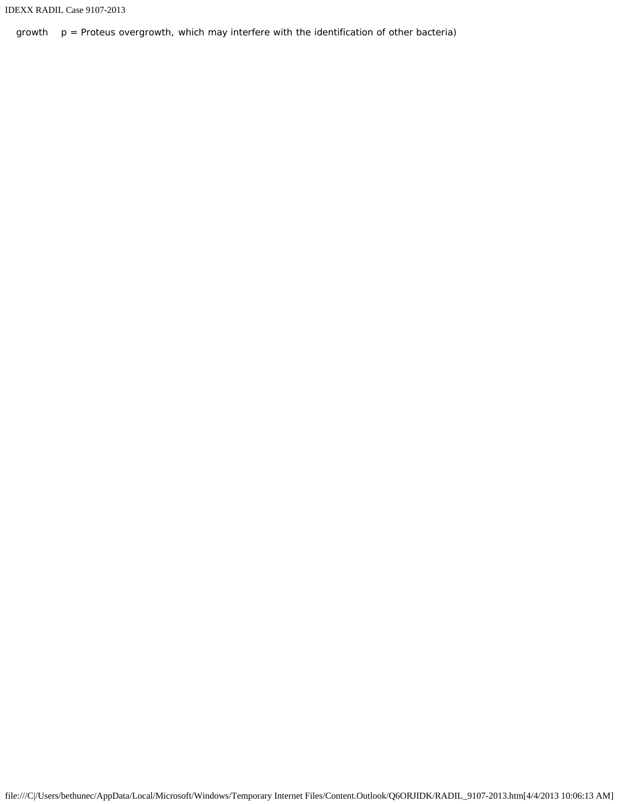```
IDEXX RADIL Case 9107-2013
```
growth  $p =$  Proteus overgrowth, which may interfere with the identification of other bacteria)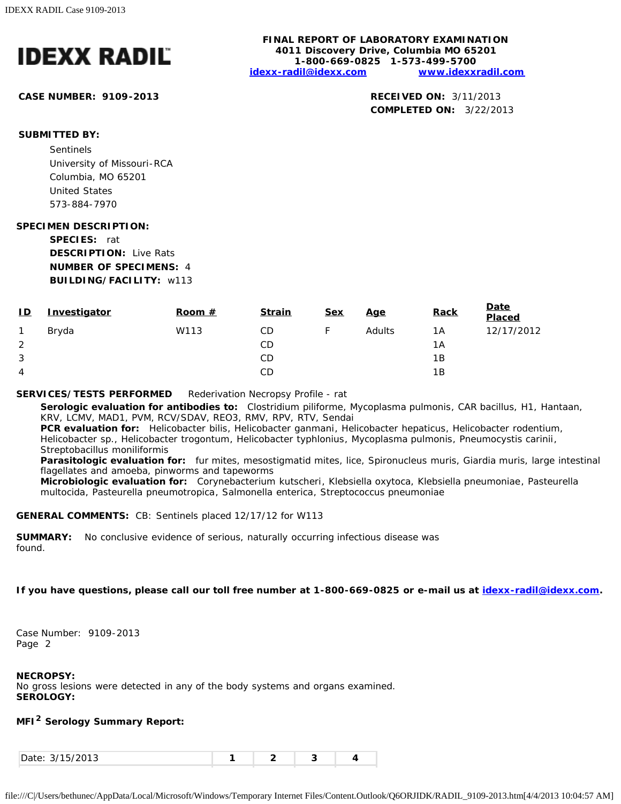

**CASE NUMBER: 9109-2013 RECEIVED ON:** 3/11/2013

**FINAL REPORT OF LABORATORY EXAMINATION 4011 Discovery Drive, Columbia MO 65201 1-800-669-0825 1-573-499-5700 [idexx-radil@idexx.com](mailto:idexx-radil@idexx.com) [www.idexxradil.com](http://www.idexxradil.com/)**

**COMPLETED ON:** 3/22/2013

# **SUBMITTED BY:**

Sentinels University of Missouri-RCA Columbia, MO 65201 United States 573-884-7970

### **SPECIMEN DESCRIPTION:**

**SPECIES:** rat **DESCRIPTION:** Live Rats **NUMBER OF SPECIMENS:** 4 **BUILDING/FACILITY:** w113

| ID | Investigator | Room $#$ | <b>Strain</b> | <b>Sex</b> | <u>Age</u> | <b>Rack</b> | <u>Date</u><br>Placed |
|----|--------------|----------|---------------|------------|------------|-------------|-----------------------|
| 1  | Bryda        | W113     | CD            |            | Adults     | 1A          | 12/17/2012            |
| 2  |              |          | CD            |            |            | 1Α          |                       |
| 3  |              |          | CD            |            |            | 1Β          |                       |
| 4  |              |          | CD            |            |            | 1Β          |                       |

### **SERVICES/TESTS PERFORMED** Rederivation Necropsy Profile - rat

**Serologic evaluation for antibodies to:** *Clostridium piliforme*, *Mycoplasma pulmonis*, CAR bacillus, H1, Hantaan, KRV, LCMV, MAD1, PVM, RCV/SDAV, REO3, RMV, RPV, RTV, Sendai

**PCR evaluation for:** *Helicobacter bilis*, *Helicobacter ganmani*, *Helicobacter hepaticus*, *Helicobacter rodentium*, *Helicobacter* sp., *Helicobacter trogontum*, *Helicobacter typhlonius*, *Mycoplasma pulmonis*, *Pneumocystis carinii*, *Streptobacillus moniliformis*

**Parasitologic evaluation for:** fur mites, mesostigmatid mites, lice, Spironucleus muris, Giardia muris, large intestinal flagellates and amoeba, pinworms and tapeworms

**Microbiologic evaluation for:** *Corynebacterium kutscheri*, *Klebsiella oxytoca*, *Klebsiella pneumoniae*, *Pasteurella multocida*, *Pasteurella pneumotropica*, *Salmonella enterica*, *Streptococcus pneumoniae*

#### **GENERAL COMMENTS:** CB: Sentinels placed 12/17/12 for W113

**SUMMARY:** No conclusive evidence of serious, naturally occurring infectious disease was found.

## **If you have questions, please call our toll free number at 1-800-669-0825 or e-mail us at [idexx-radil@idexx.com.](mailto:idexx-radil@idexx.com)**

Case Number: 9109-2013 Page 2

#### **NECROPSY:**

No gross lesions were detected in any of the body systems and organs examined. **SEROLOGY:**

# **MFI2 Serology Summary Report:**

| 1.510012<br>Date:<br>.<br>. |  |  |  |  |
|-----------------------------|--|--|--|--|
|-----------------------------|--|--|--|--|

```
file:///C|/Users/bethunec/AppData/Local/Microsoft/Windows/Temporary Internet Files/Content.Outlook/Q6ORJIDK/RADIL_9109-2013.htm[4/4/2013 10:04:57 AM]
```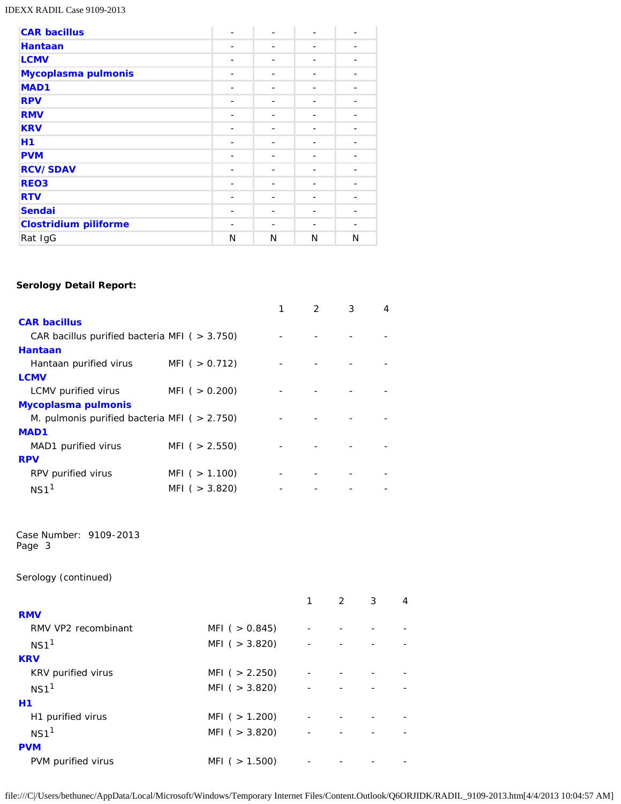### IDEXX RADIL Case 9109-2013

| <b>CAR bacillus</b>          | ۰              |   |   |   |
|------------------------------|----------------|---|---|---|
| <b>Hantaan</b>               |                |   |   |   |
| <b>LCMV</b>                  | $\overline{a}$ |   |   |   |
| Mycoplasma pulmonis          | -              |   |   |   |
| MAD <sub>1</sub>             |                |   |   |   |
| <b>RPV</b>                   |                |   |   |   |
| <b>RMV</b>                   | -              |   |   |   |
| <b>KRV</b>                   |                |   |   |   |
| H1                           |                |   |   |   |
| <b>PVM</b>                   | -              |   |   |   |
| <b>RCV/SDAV</b>              |                |   |   |   |
| REO <sub>3</sub>             |                |   |   |   |
| <b>RTV</b>                   | -              |   |   |   |
| <b>Sendai</b>                |                |   |   |   |
| <b>Clostridium piliforme</b> |                |   |   |   |
| Rat IgG                      | N              | N | N | N |

# **Serology Detail Report:**

|                                                        |                   | $\mathcal{P}$ | 3 | 4 |
|--------------------------------------------------------|-------------------|---------------|---|---|
| <b>CAR bacillus</b>                                    |                   |               |   |   |
| CAR bacillus purified bacteria MFI ( $>$ 3.750)        |                   |               |   |   |
| <b>Hantaan</b>                                         |                   |               |   |   |
| Hantaan purified virus                                 | MFI ( $> 0.712$ ) |               |   |   |
| <b>LCMV</b>                                            |                   |               |   |   |
| LCMV purified virus                                    | MFI ( $> 0.200$ ) |               |   |   |
| <b>Mycoplasma pulmonis</b>                             |                   |               |   |   |
| <i>M. pulmonis</i> purified bacteria MFI ( $> 2.750$ ) |                   |               |   |   |
| MAD <sub>1</sub>                                       |                   |               |   |   |
| MAD1 purified virus                                    | MFI ( $> 2.550$ ) |               |   |   |
| <b>RPV</b>                                             |                   |               |   |   |
| RPV purified virus                                     | MFI ( $> 1.100$ ) |               |   |   |
| $NS1$ <sup>1</sup>                                     | MFI ( $>$ 3.820)  |               |   |   |

Case Number: 9109-2013 Page 3

Serology (continued)

|                     |                   | 1 | $2^{\circ}$ | 3 | 4 |
|---------------------|-------------------|---|-------------|---|---|
| <b>RMV</b>          |                   |   |             |   |   |
| RMV VP2 recombinant | MFI $( > 0.845)$  |   |             |   |   |
| NS1 <sup>1</sup>    | MFI $( > 3.820)$  |   |             |   |   |
| <b>KRV</b>          |                   |   |             |   |   |
| KRV purified virus  | MFI ( $> 2.250$ ) |   |             |   |   |
| NS1 <sup>1</sup>    | MFI ( $>$ 3.820)  |   |             |   |   |
| H1                  |                   |   |             |   |   |
| H1 purified virus   | MFI ( $> 1.200$ ) |   |             |   |   |
| NS1 <sup>1</sup>    | MFI $( > 3.820)$  |   |             |   |   |
| <b>PVM</b>          |                   |   |             |   |   |
| PVM purified virus  | MFI ( $> 1.500$ ) |   |             |   |   |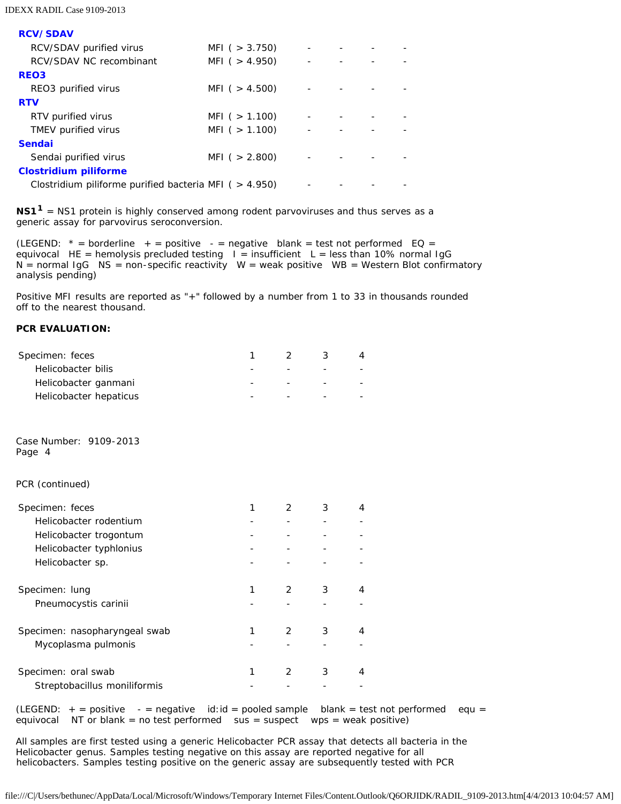#### IDEXX RADIL Case 9109-2013

**RCV/SDAV**

| MFI ( $>$ 3.750)                                         |  |  |
|----------------------------------------------------------|--|--|
| MFI ( $> 4.950$ )                                        |  |  |
|                                                          |  |  |
| MFI ( $> 4.500$ )                                        |  |  |
|                                                          |  |  |
| MFI ( $> 1.100$ )                                        |  |  |
| MFI ( $> 1.100$ )                                        |  |  |
|                                                          |  |  |
| MFI ( $> 2.800$ )                                        |  |  |
|                                                          |  |  |
| Clostridium piliforme purified bacteria MFI ( $>$ 4.950) |  |  |
|                                                          |  |  |

**NS11** = NS1 protein is highly conserved among rodent parvoviruses and thus serves as a generic assay for parvovirus seroconversion.

(LEGEND:  $*$  = borderline + = positive - = negative blank = test not performed EQ = equivocal HE = hemolysis precluded testing  $I =$  insufficient L = less than 10% normal IgG  $N =$  normal IgG  $NS =$  non-specific reactivity  $W =$  weak positive  $WB =$  Western Blot confirmatory analysis pending)

Positive MFI results are reported as "+" followed by a number from 1 to 33 in thousands rounded off to the nearest thousand.

## **PCR EVALUATION:**

| Specimen: feces                  | 1 | 2             | 3      | 4 |  |
|----------------------------------|---|---------------|--------|---|--|
| Helicobacter bilis               |   |               |        |   |  |
| Helicobacter ganmani             |   |               | $\sim$ |   |  |
| Helicobacter hepaticus           |   |               |        |   |  |
| Case Number: 9109-2013<br>Page 4 |   |               |        |   |  |
| PCR (continued)                  |   |               |        |   |  |
| Specimen: feces                  | 1 | $\mathcal{P}$ | 3      | 4 |  |
| Helicobacter rodentium           |   |               |        |   |  |
| Helicobacter trogontum           |   |               |        |   |  |
| Helicobacter typhlonius          |   |               |        |   |  |
| Helicobacter sp.                 |   |               |        |   |  |
| Specimen: lung                   | 1 | 2             | 3      | 4 |  |
| Pneumocystis carinii             |   |               |        |   |  |
| Specimen: nasopharyngeal swab    | 1 | 2             | 3      | 4 |  |
| Mycoplasma pulmonis              |   |               |        |   |  |
| Specimen: oral swab              | 1 | 2             | 3      | 4 |  |
| Streptobacillus moniliformis     |   |               |        |   |  |

(LEGEND:  $+$  = positive - = negative id:id = pooled sample blank = test not performed equ = equivocal NT or blank = no test performed sus = suspect wps = weak positive)

All samples are first tested using a generic *Helicobacter* PCR assay that detects all bacteria in the *Helicobacter* genus. Samples testing negative on this assay are reported negative for all helicobacters. Samples testing positive on the generic assay are subsequently tested with PCR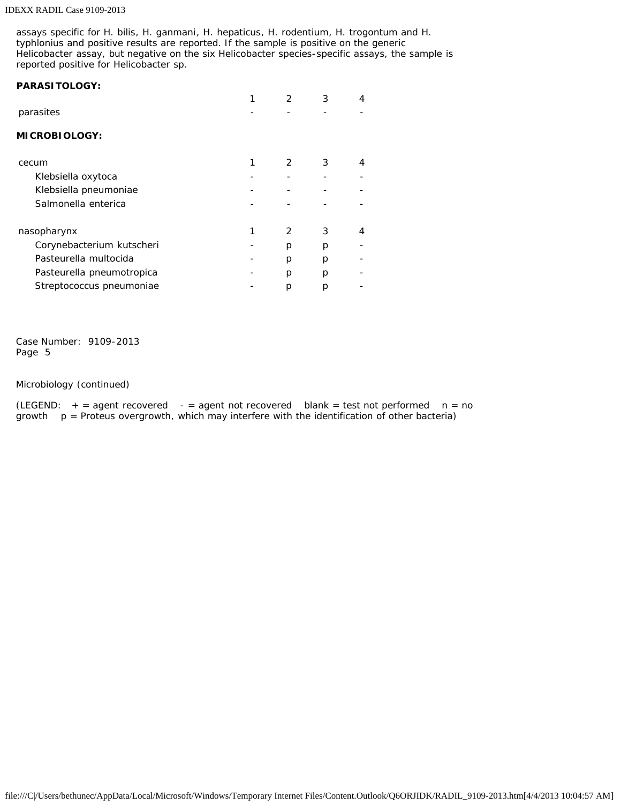#### IDEXX RADIL Case 9109-2013

assays specific for *H. bilis*, *H. ganmani*, *H. hepaticus*, *H. rodentium*, *H. trogontum* and *H. typhlonius* and positive results are reported. If the sample is positive on the generic *Helicobacter* assay, but negative on the six *Helicobacter* species-specific assays, the sample is reported positive for *Helicobacter* sp.

### **PARASITOLOGY:**

|                           |   | 3 | 4 |
|---------------------------|---|---|---|
| parasites                 |   |   |   |
| <b>MICROBIOLOGY:</b>      |   |   |   |
| cecum                     | 2 | 3 | 4 |
| Klebsiella oxytoca        |   |   |   |
| Klebsiella pneumoniae     |   |   |   |
| Salmonella enterica       |   |   |   |
| nasopharynx               | 2 | 3 | 4 |
| Corynebacterium kutscheri | р | р |   |
| Pasteurella multocida     | р | D |   |
| Pasteurella pneumotropica | р | р |   |
| Streptococcus pneumoniae  | р | р |   |

Case Number: 9109-2013 Page 5

Microbiology (continued)

(LEGEND:  $+$  = agent recovered - = agent not recovered blank = test not performed  $n = no$ growth  $p =$  Proteus overgrowth, which may interfere with the identification of other bacteria)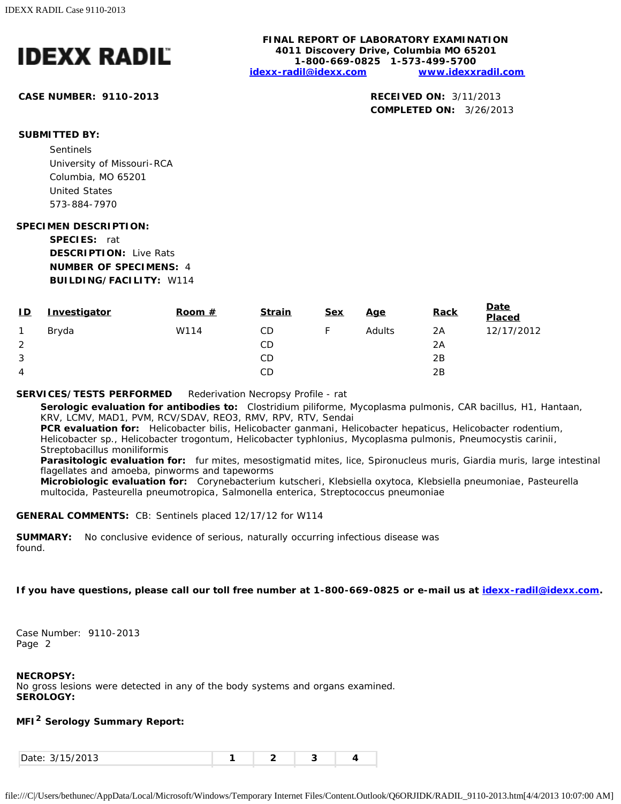

**CASE NUMBER: 9110-2013 RECEIVED ON:** 3/11/2013

**FINAL REPORT OF LABORATORY EXAMINATION 4011 Discovery Drive, Columbia MO 65201 1-800-669-0825 1-573-499-5700 [idexx-radil@idexx.com](mailto:idexx-radil@idexx.com) [www.idexxradil.com](http://www.idexxradil.com/)**

**COMPLETED ON:** 3/26/2013

# **SUBMITTED BY:**

Sentinels University of Missouri-RCA Columbia, MO 65201 United States 573-884-7970

### **SPECIMEN DESCRIPTION:**

**SPECIES:** rat **DESCRIPTION:** Live Rats **NUMBER OF SPECIMENS:** 4 **BUILDING/FACILITY:** W114

| ID | Investigator | Room $#$ | <b>Strain</b> | <u>Sex</u> | <u>Age</u> | <b>Rack</b> | Date<br>Placed |
|----|--------------|----------|---------------|------------|------------|-------------|----------------|
| 1  | Bryda        | W114     | CD            |            | Adults     | 2A          | 12/17/2012     |
| 2  |              |          | CD            |            |            | 2A          |                |
| 3  |              |          | СD            |            |            | 2B          |                |
| 4  |              |          | CD            |            |            | 2B          |                |

### **SERVICES/TESTS PERFORMED** Rederivation Necropsy Profile - rat

**Serologic evaluation for antibodies to:** *Clostridium piliforme*, *Mycoplasma pulmonis*, CAR bacillus, H1, Hantaan, KRV, LCMV, MAD1, PVM, RCV/SDAV, REO3, RMV, RPV, RTV, Sendai

**PCR evaluation for:** *Helicobacter bilis*, *Helicobacter ganmani*, *Helicobacter hepaticus*, *Helicobacter rodentium*, *Helicobacter* sp., *Helicobacter trogontum*, *Helicobacter typhlonius*, *Mycoplasma pulmonis*, *Pneumocystis carinii*, *Streptobacillus moniliformis*

**Parasitologic evaluation for:** fur mites, mesostigmatid mites, lice, Spironucleus muris, Giardia muris, large intestinal flagellates and amoeba, pinworms and tapeworms

**Microbiologic evaluation for:** *Corynebacterium kutscheri*, *Klebsiella oxytoca*, *Klebsiella pneumoniae*, *Pasteurella multocida*, *Pasteurella pneumotropica*, *Salmonella enterica*, *Streptococcus pneumoniae*

#### **GENERAL COMMENTS:** CB: Sentinels placed 12/17/12 for W114

**SUMMARY:** No conclusive evidence of serious, naturally occurring infectious disease was found.

## **If you have questions, please call our toll free number at 1-800-669-0825 or e-mail us at [idexx-radil@idexx.com.](mailto:idexx-radil@idexx.com)**

Case Number: 9110-2013 Page 2

#### **NECROPSY:**

No gross lesions were detected in any of the body systems and organs examined. **SEROLOGY:**

# **MFI2 Serology Summary Report:**

| 1.510012<br>Date:<br>.<br>. |  |  |  |  |
|-----------------------------|--|--|--|--|
|-----------------------------|--|--|--|--|

file:///C|/Users/bethunec/AppData/Local/Microsoft/Windows/Temporary Internet Files/Content.Outlook/Q6ORJIDK/RADIL\_9110-2013.htm[4/4/2013 10:07:00 AM]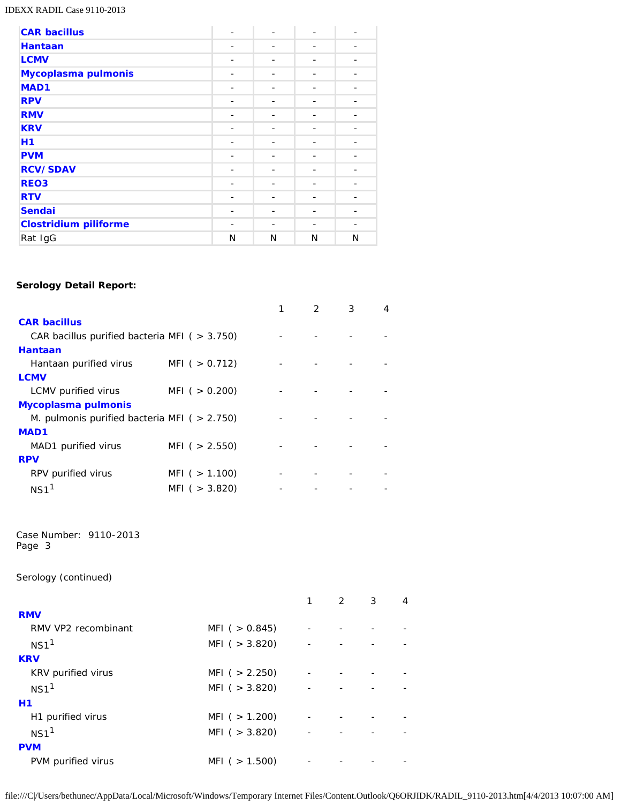### IDEXX RADIL Case 9110-2013

| <b>CAR bacillus</b>          | ۰              |   |   |   |
|------------------------------|----------------|---|---|---|
| <b>Hantaan</b>               |                |   |   |   |
| <b>LCMV</b>                  | $\overline{a}$ | - |   |   |
| Mycoplasma pulmonis          | -              |   |   |   |
| MAD1                         |                |   |   |   |
| <b>RPV</b>                   |                |   |   |   |
| <b>RMV</b>                   | -              |   |   |   |
| <b>KRV</b>                   | ۰              |   |   |   |
| Η1                           |                |   |   |   |
| <b>PVM</b>                   | -              |   |   |   |
| <b>RCV/SDAV</b>              |                |   |   |   |
| <b>REO3</b>                  |                |   |   |   |
| <b>RTV</b>                   | $\overline{a}$ | - |   |   |
| <b>Sendai</b>                |                |   |   |   |
| <b>Clostridium piliforme</b> |                |   |   |   |
| Rat IgG                      | N              | N | N | N |

# **Serology Detail Report:**

|                                                        |                   | $\mathcal{P}$ | 3 | 4 |
|--------------------------------------------------------|-------------------|---------------|---|---|
| <b>CAR bacillus</b>                                    |                   |               |   |   |
| CAR bacillus purified bacteria MFI ( $>$ 3.750)        |                   |               |   |   |
| <b>Hantaan</b>                                         |                   |               |   |   |
| Hantaan purified virus                                 | MFI ( $> 0.712$ ) |               |   |   |
| <b>LCMV</b>                                            |                   |               |   |   |
| LCMV purified virus                                    | MFI ( $> 0.200$ ) |               |   |   |
| <b>Mycoplasma pulmonis</b>                             |                   |               |   |   |
| <i>M. pulmonis</i> purified bacteria MFI ( $> 2.750$ ) |                   |               |   |   |
| <b>MAD1</b>                                            |                   |               |   |   |
| MAD1 purified virus                                    | MFI ( $> 2.550$ ) |               |   |   |
| <b>RPV</b>                                             |                   |               |   |   |
| RPV purified virus                                     | MFI ( $> 1.100$ ) |               |   |   |
| NS <sub>1</sub>                                        | MFI ( $>$ 3.820)  |               |   |   |

Case Number: 9110-2013 Page 3

Serology (continued)

|                     |                   | 1 | $2^{\circ}$ | 3 | 4 |
|---------------------|-------------------|---|-------------|---|---|
| <b>RMV</b>          |                   |   |             |   |   |
| RMV VP2 recombinant | MFI $( > 0.845)$  |   |             |   |   |
| NS1 <sup>1</sup>    | MFI $( > 3.820)$  |   |             |   |   |
| <b>KRV</b>          |                   |   |             |   |   |
| KRV purified virus  | MFI ( $> 2.250$ ) |   |             |   |   |
| NS1 <sup>1</sup>    | MFI ( $>$ 3.820)  |   |             |   |   |
| <b>H1</b>           |                   |   |             |   |   |
| H1 purified virus   | MFI ( $> 1.200$ ) |   |             |   |   |
| NS1 <sup>1</sup>    | MFI $( > 3.820)$  |   |             |   |   |
| <b>PVM</b>          |                   |   |             |   |   |
| PVM purified virus  | MFI ( $> 1.500$ ) |   |             |   |   |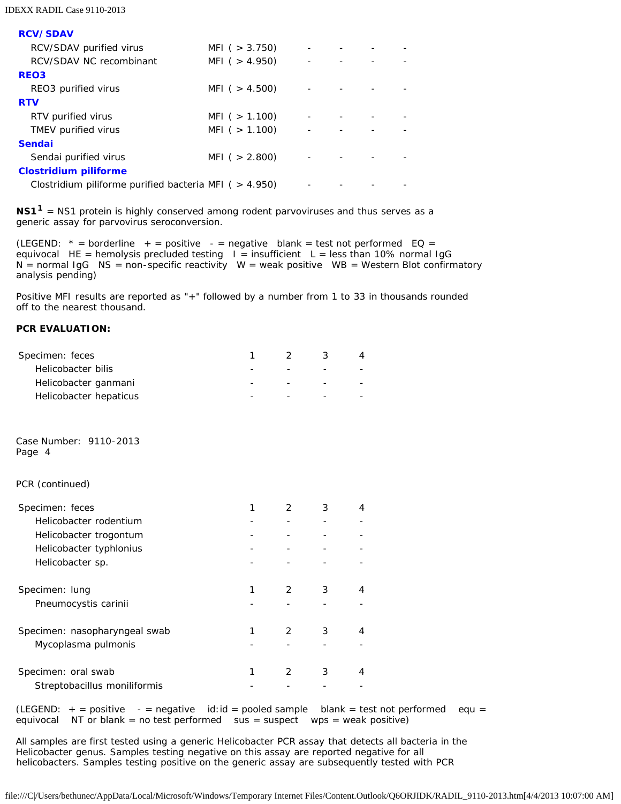| <b>RCV/SDAV</b>                                          |                   |  |  |
|----------------------------------------------------------|-------------------|--|--|
| RCV/SDAV purified virus                                  | MFI ( $>$ 3.750)  |  |  |
| RCV/SDAV NC recombinant                                  | MFI ( $> 4.950$ ) |  |  |
| REO <sub>3</sub>                                         |                   |  |  |
| REO3 purified virus                                      | MFI ( $> 4.500$ ) |  |  |
| <b>RTV</b>                                               |                   |  |  |
| RTV purified virus                                       | MFI ( $> 1.100$ ) |  |  |
| TMEV purified virus                                      | MFI ( $> 1.100$ ) |  |  |
| <b>Sendai</b>                                            |                   |  |  |
| Sendai purified virus                                    | MFI ( $> 2.800$ ) |  |  |
| <b>Clostridium piliforme</b>                             |                   |  |  |
| Clostridium piliforme purified bacteria MFI ( $>$ 4.950) |                   |  |  |

**NS11** = NS1 protein is highly conserved among rodent parvoviruses and thus serves as a generic assay for parvovirus seroconversion.

(LEGEND:  $*$  = borderline + = positive - = negative blank = test not performed EQ = equivocal HE = hemolysis precluded testing  $I =$  insufficient L = less than 10% normal IgG  $N =$  normal IgG  $NS =$  non-specific reactivity  $W =$  weak positive  $WB =$  Western Blot confirmatory analysis pending)

Positive MFI results are reported as "+" followed by a number from 1 to 33 in thousands rounded off to the nearest thousand.

## **PCR EVALUATION:**

| Specimen: feces                  | 1 | 2              | 3 | 4 |
|----------------------------------|---|----------------|---|---|
| Helicobacter bilis               |   |                |   |   |
| Helicobacter ganmani             |   |                |   |   |
| Helicobacter hepaticus           |   |                |   |   |
| Case Number: 9110-2013<br>Page 4 |   |                |   |   |
| PCR (continued)                  |   |                |   |   |
| Specimen: feces                  | 1 | $\overline{2}$ | 3 | 4 |
| Helicobacter rodentium           |   |                |   |   |
| Helicobacter trogontum           |   |                |   |   |
| Helicobacter typhlonius          |   |                |   |   |
| Helicobacter sp.                 |   |                |   |   |
| Specimen: lung                   | 1 | 2              | 3 | 4 |
| Pneumocystis carinii             |   |                |   |   |
| Specimen: nasopharyngeal swab    | 1 | 2              | 3 | 4 |
| Mycoplasma pulmonis              |   |                |   |   |
| Specimen: oral swab              | 1 | 2              | 3 | 4 |
| Streptobacillus moniliformis     |   |                |   |   |
| $L$ $R$ $R$ $R$ $R$ $R$          | . |                | . |   |

(LEGEND:  $+$  = positive  $-$  = negative id:id = pooled sample blank = test not performed equ = equivocal NT or blank = no test performed sus = suspect wps = weak positive)

All samples are first tested using a generic *Helicobacter* PCR assay that detects all bacteria in the *Helicobacter* genus. Samples testing negative on this assay are reported negative for all helicobacters. Samples testing positive on the generic assay are subsequently tested with PCR